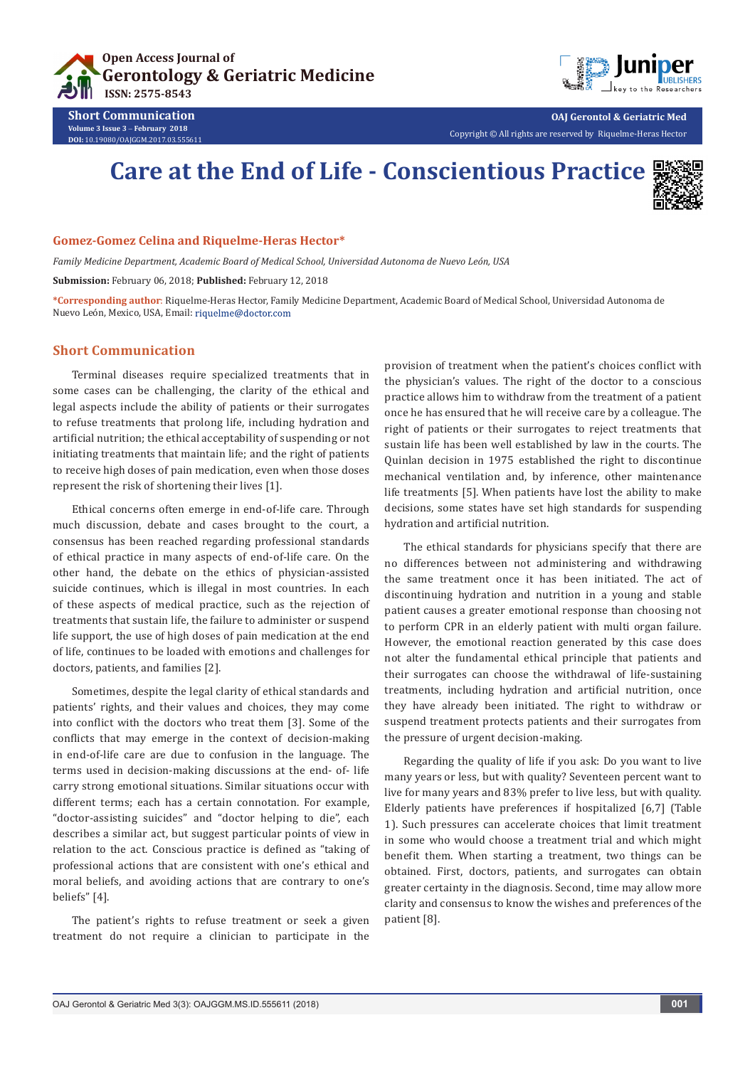



**OAJ Gerontol & Geriatric Med** Copyright © All rights are reserved by Riquelme-Heras Hector

# **Care at the End of Life - Conscientious Practice**



## **Gomez-Gomez Celina and Riquelme-Heras Hector\***

*Family Medicine Department, Academic Board of Medical School, Universidad Autonoma de Nuevo León, USA*

**Submission:** February 06, 2018; **Published:** February 12, 2018

**\*Corresponding author**: Riquelme-Heras Hector, Family Medicine Department, Academic Board of Medical School, Universidad Autonoma de Nuevo León, Mexico, USA, Email:

### **Short Communication**

**Short Communication Volume 3 Issue 3** - **February 2018 DOI:** [10.19080/OAJGGM.2017.03.555611](http://dx.doi.org/10.19080/OAJGGM.2017.03.555611)

Terminal diseases require specialized treatments that in some cases can be challenging, the clarity of the ethical and legal aspects include the ability of patients or their surrogates to refuse treatments that prolong life, including hydration and artificial nutrition; the ethical acceptability of suspending or not initiating treatments that maintain life; and the right of patients to receive high doses of pain medication, even when those doses represent the risk of shortening their lives [1].

Ethical concerns often emerge in end-of-life care. Through much discussion, debate and cases brought to the court, a consensus has been reached regarding professional standards of ethical practice in many aspects of end-of-life care. On the other hand, the debate on the ethics of physician-assisted suicide continues, which is illegal in most countries. In each of these aspects of medical practice, such as the rejection of treatments that sustain life, the failure to administer or suspend life support, the use of high doses of pain medication at the end of life, continues to be loaded with emotions and challenges for doctors, patients, and families [2].

Sometimes, despite the legal clarity of ethical standards and patients' rights, and their values and choices, they may come into conflict with the doctors who treat them [3]. Some of the conflicts that may emerge in the context of decision-making in end-of-life care are due to confusion in the language. The terms used in decision-making discussions at the end- of- life carry strong emotional situations. Similar situations occur with different terms; each has a certain connotation. For example, "doctor-assisting suicides" and "doctor helping to die", each describes a similar act, but suggest particular points of view in relation to the act. Conscious practice is defined as "taking of professional actions that are consistent with one's ethical and moral beliefs, and avoiding actions that are contrary to one's beliefs" [4].

The patient's rights to refuse treatment or seek a given treatment do not require a clinician to participate in the

provision of treatment when the patient's choices conflict with the physician's values. The right of the doctor to a conscious practice allows him to withdraw from the treatment of a patient once he has ensured that he will receive care by a colleague. The right of patients or their surrogates to reject treatments that sustain life has been well established by law in the courts. The Quinlan decision in 1975 established the right to discontinue mechanical ventilation and, by inference, other maintenance life treatments [5]. When patients have lost the ability to make decisions, some states have set high standards for suspending hydration and artificial nutrition.

The ethical standards for physicians specify that there are no differences between not administering and withdrawing the same treatment once it has been initiated. The act of discontinuing hydration and nutrition in a young and stable patient causes a greater emotional response than choosing not to perform CPR in an elderly patient with multi organ failure. However, the emotional reaction generated by this case does not alter the fundamental ethical principle that patients and their surrogates can choose the withdrawal of life-sustaining treatments, including hydration and artificial nutrition, once they have already been initiated. The right to withdraw or suspend treatment protects patients and their surrogates from the pressure of urgent decision-making.

Regarding the quality of life if you ask: Do you want to live many years or less, but with quality? Seventeen percent want to live for many years and 83% prefer to live less, but with quality. Elderly patients have preferences if hospitalized [6,7] (Table 1). Such pressures can accelerate choices that limit treatment in some who would choose a treatment trial and which might benefit them. When starting a treatment, two things can be obtained. First, doctors, patients, and surrogates can obtain greater certainty in the diagnosis. Second, time may allow more clarity and consensus to know the wishes and preferences of the patient [8].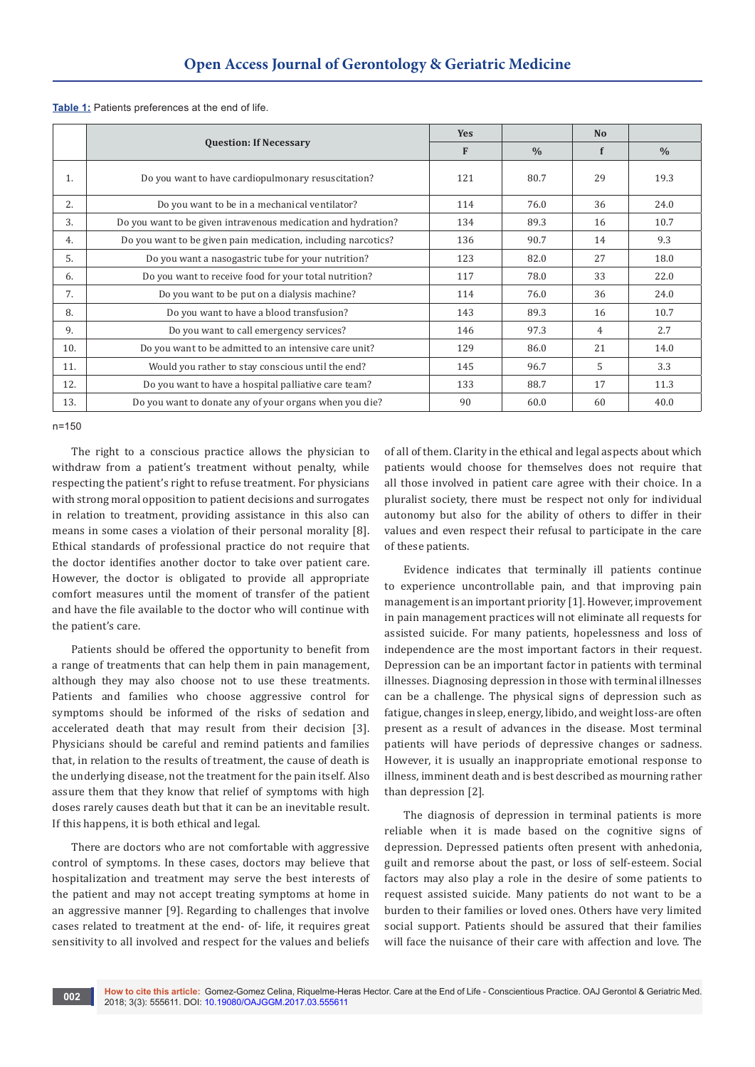|     | <b>Question: If Necessary</b>                                 | <b>Yes</b> |               | N <sub>o</sub> |               |
|-----|---------------------------------------------------------------|------------|---------------|----------------|---------------|
|     |                                                               | F          | $\frac{0}{0}$ | f              | $\frac{0}{0}$ |
| 1.  | Do you want to have cardiopulmonary resuscitation?            | 121        | 80.7          | 29             | 19.3          |
| 2.  | Do you want to be in a mechanical ventilator?                 | 114        | 76.0          | 36             | 24.0          |
| 3.  | Do you want to be given intravenous medication and hydration? | 134        | 89.3          | 16             | 10.7          |
| 4.  | Do you want to be given pain medication, including narcotics? | 136        | 90.7          | 14             | 9.3           |
| 5.  | Do you want a nasogastric tube for your nutrition?            | 123        | 82.0          | 27             | 18.0          |
| 6.  | Do you want to receive food for your total nutrition?         | 117        | 78.0          | 33             | 22.0          |
| 7.  | Do you want to be put on a dialysis machine?                  | 114        | 76.0          | 36             | 24.0          |
| 8.  | Do you want to have a blood transfusion?                      | 143        | 89.3          | 16             | 10.7          |
| 9.  | Do you want to call emergency services?                       | 146        | 97.3          | 4              | 2.7           |
| 10. | Do you want to be admitted to an intensive care unit?         | 129        | 86.0          | 21             | 14.0          |
| 11. | Would you rather to stay conscious until the end?             | 145        | 96.7          | 5              | 3.3           |
| 12. | Do you want to have a hospital palliative care team?          | 133        | 88.7          | 17             | 11.3          |
| 13. | Do you want to donate any of your organs when you die?        | 90         | 60.0          | 60             | 40.0          |

## **Table 1:** Patients preferences at the end of life.

n=150

The right to a conscious practice allows the physician to withdraw from a patient's treatment without penalty, while respecting the patient's right to refuse treatment. For physicians with strong moral opposition to patient decisions and surrogates in relation to treatment, providing assistance in this also can means in some cases a violation of their personal morality [8]. Ethical standards of professional practice do not require that the doctor identifies another doctor to take over patient care. However, the doctor is obligated to provide all appropriate comfort measures until the moment of transfer of the patient and have the file available to the doctor who will continue with the patient's care.

Patients should be offered the opportunity to benefit from a range of treatments that can help them in pain management, although they may also choose not to use these treatments. Patients and families who choose aggressive control for symptoms should be informed of the risks of sedation and accelerated death that may result from their decision [3]. Physicians should be careful and remind patients and families that, in relation to the results of treatment, the cause of death is the underlying disease, not the treatment for the pain itself. Also assure them that they know that relief of symptoms with high doses rarely causes death but that it can be an inevitable result. If this happens, it is both ethical and legal.

There are doctors who are not comfortable with aggressive control of symptoms. In these cases, doctors may believe that hospitalization and treatment may serve the best interests of the patient and may not accept treating symptoms at home in an aggressive manner [9]. Regarding to challenges that involve cases related to treatment at the end- of- life, it requires great sensitivity to all involved and respect for the values and beliefs

of all of them. Clarity in the ethical and legal aspects about which patients would choose for themselves does not require that all those involved in patient care agree with their choice. In a pluralist society, there must be respect not only for individual autonomy but also for the ability of others to differ in their values and even respect their refusal to participate in the care of these patients.

Evidence indicates that terminally ill patients continue to experience uncontrollable pain, and that improving pain management is an important priority [1]. However, improvement in pain management practices will not eliminate all requests for assisted suicide. For many patients, hopelessness and loss of independence are the most important factors in their request. Depression can be an important factor in patients with terminal illnesses. Diagnosing depression in those with terminal illnesses can be a challenge. The physical signs of depression such as fatigue, changes in sleep, energy, libido, and weight loss-are often present as a result of advances in the disease. Most terminal patients will have periods of depressive changes or sadness. However, it is usually an inappropriate emotional response to illness, imminent death and is best described as mourning rather than depression [2].

The diagnosis of depression in terminal patients is more reliable when it is made based on the cognitive signs of depression. Depressed patients often present with anhedonia, guilt and remorse about the past, or loss of self-esteem. Social factors may also play a role in the desire of some patients to request assisted suicide. Many patients do not want to be a burden to their families or loved ones. Others have very limited social support. Patients should be assured that their families will face the nuisance of their care with affection and love. The